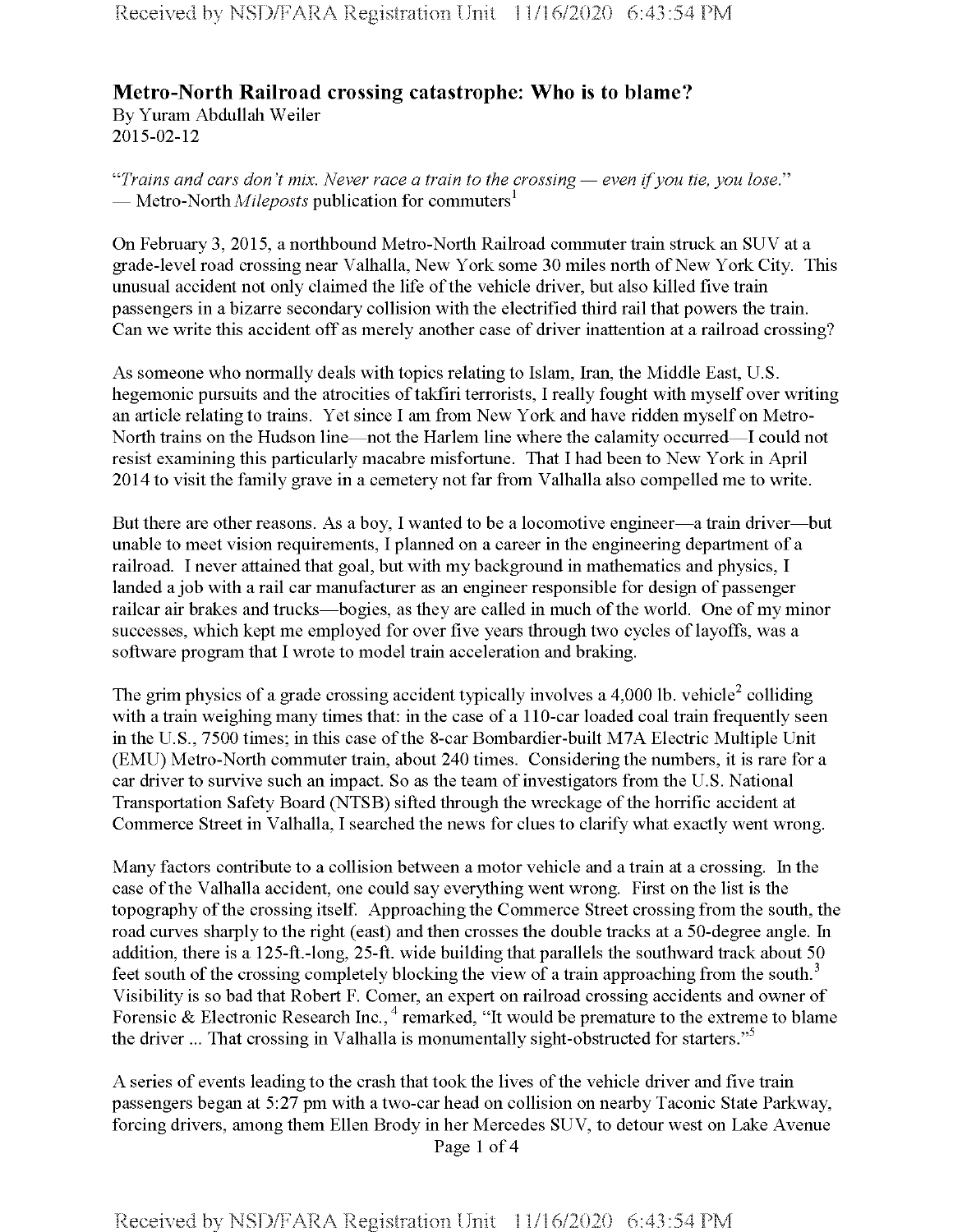## **Metro-North Railroad crossing catastrophe: Who is to blame?**

By Yuram Abdullah Weiler 2015-02-12

*"Trains and cars don't mix. Never race a train to the crossing* — *even ifyou tie, you lose."* — Metro-North *Mileposts* publication for commuters<sup>1</sup>

On February 3, 2015, a northbound Metro-North Railroad commuter train struck an SUV at a grade-level road crossing near Valhalla, New York some 30 miles north of New York City. This unusual accident not only claimed the life of the vehicle driver, but also killed five train passengers in a bizarre secondary collision with the electrified third rail that powers the train. Can we write this accident off as merely another case of driver inattention at a railroad crossing?

As someone who normally deals with topics relating to Islam, Iran, the Middle East, U.S. hegemonic pursuits and the atrocities of takfiri terrorists, I really fought with myself over writing an article relating to trains. Yet since I am from New York and have ridden myself on Metro-North trains on the Hudson line—not the Harlem line where the calamity occurred—I could not resist examining this particularly macabre misfortune. That I had been to New York in April 2014 to visit the family grave in a cemetery not far from Valhalla also compelled me to write.

But there are other reasons. As a boy, I wanted to be a locomotive engineer—a train driver—but unable to meet vision requirements, I planned on a career in the engineering department of a railroad. I never attained that goal, but with my background in mathematics and physics, I landed a job with a rail car manufacturer as an engineer responsible for design of passenger railcar air brakes and trucks—bogies, as they are called in much of the world. One of my minor successes, which kept me employed for over five years through two cycles of layoffs, was a software program that I wrote to model train acceleration and braking.

The grim physics of a grade crossing accident typically involves a 4,000 lb. vehicle<sup>2</sup> colliding with a train weighing many times that: in the case of a 110-car loaded coal train frequently seen in the U.S., 7500 times; in this case of the 8-car Bombardier-built M7A Electric Multiple Unit (EMU) Metro-North commuter train, about 240 times. Considering the numbers, it is rare for a car driver to survive such an impact. So as the team of investigators from the U.S. National Transportation Safety Board (NTSB) sifted through the wreckage ofthe horrific accident at Commerce Street in Valhalla, I searched the news for clues to clarify what exactly went wrong.

Many factors contribute to a collision between a motor vehicle and a train at a crossing. In the case ofthe Valhalla accident, one could say everything went wrong. First on the list is the topography of the crossing itself. Approaching the Commerce Street crossing from the south, the road curves sharply to the right (east) and then crosses the double tracks at a 50-degree angle. In addition, there is a 125-ft.-long, 25-ft. wide building that parallels the southward track about 50 feet south of the crossing completely blocking the view of a train approaching from the south.<sup>3</sup> Visibility is so bad that Robert F. Comer, an expert on railroad crossing accidents and owner of Forensic & Electronic Research Inc.,  $4$  remarked, "It would be premature to the extreme to blame the driver ... That crossing in Valhalla is monumentally sight-obstructed for starters."<sup>5</sup>

A series of events leading to the crash that took the lives of the vehicle driver and five train passengers began at 5:27 pm with a two-car head on collision on nearby Taconic State Parkway, forcing drivers, among them Ellen Brody in her Mercedes SUV, to detour west on Lake Avenue Page <sup>1</sup> of 4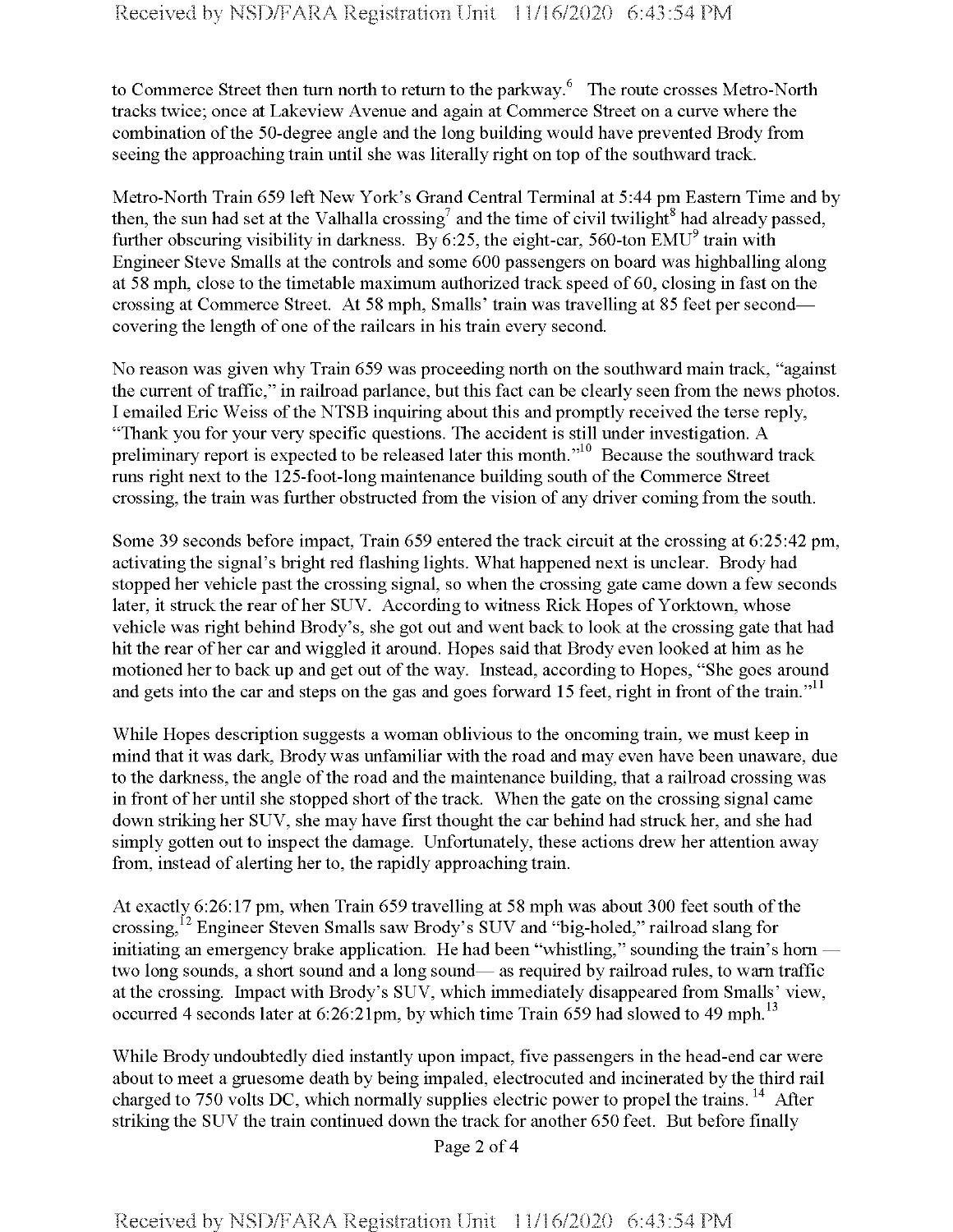to Commerce Street then turn north to return to the parkway.<sup>6</sup> The route crosses Metro-North tracks twice; once at Lakeview Avenue and again at Commerce Street on a curve where the combination of the 50-degree angle and the long building would have prevented Brody from seeing the approaching train until she was literally right on top of the southward track.

Metro-North Train 659 left New York's Grand Central Terminal at 5:44 pm Eastern Time and by then, the sun had set at the Valhalla crossing<sup>7</sup> and the time of civil twilight<sup>8</sup> had already passed, further obscuring visibility in darkness. By 6:25, the eight-car, 560-ton  $EMU<sup>9</sup>$  train with Engineer Steve Smalls at the controls and some 600 passengers on board was highballing along at 58 mph, close to the timetable maximum authorized track speed of 60, closing in fast on the crossing at Commerce Street. At 58 mph, Smalls' train was travelling at 85 feet per second covering the length of one of the railcars in his train every second.

No reason was given why Train 659 was proceeding north on the southward main track, "against the current of traffic," in railroad parlance, but this fact can be clearly seen from the news photos. I emailed Eric Weiss of the NTSB inquiring about this and promptly received the terse reply, "Thank you for your very specific questions. The accident is still under investigation. A preliminary report is expected to be released later this month."<sup>10</sup> Because the southward track runs right next to the 125-foot-long maintenance building south of the Commerce Street crossing, the train was further obstructed from the vision of any driver coming from the south.

Some 39 seconds before impact, Train 659 entered the track circuit at the crossing at 6:25:42 pm, activating the signal's bright red flashing lights. What happened next is unclear. Brody had stopped her vehicle past the crossing signal, so when the crossing gate came down a few seconds later, it struck the rear of her SUV. According to witness Rick Hopes of Yorktown, whose vehicle was right behind Brody's, she got out and went back to look at the crossing gate that had hit the rear of her car and wiggled it around. Hopes said that Brody even looked at him as he motioned her to back up and get out of the way. Instead, according to Hopes, "She goes around and gets into the car and steps on the gas and goes forward 15 feet, right in front of the train."<sup>11</sup>

While Hopes description suggests a woman oblivious to the oncoming train, we must keep in mind that it was dark, Brody was unfamiliar with the road and may even have been unaware, due to the darkness, the angle of the road and the maintenance building, that a railroad crossing was in front of her until she stopped short of the track. When the gate on the crossing signal came down striking her SUV, she may have first thought the car behind had struck her, and she had simply gotten out to inspect the damage. Unfortunately, these actions drew her attention away from, instead of alerting her to, the rapidly approaching train.

At exactly 6:26:17 pm, when Train 659 travelling at 58 mph was about 300 feet south of the crossing,  $^{12}$  Engineer Steven Smalls saw Brody's SUV and "big-holed," railroad slang for initiating an emergency brake application. He had been "whistling," sounding the train's horn two long sounds, a short sound and a long sound— as required by railroad rules, to warn traffic at the crossing. Impact with Brody's SUV, which immediately disappeared from Smalls' view, occurred 4 seconds later at  $6:26:21 \text{pm}$ , by which time Train 659 had slowed to 49 mph.<sup>13</sup>

While Brody undoubtedly died instantly upon impact, five passengers in the head-end car were about to meet a gruesome death by being impaled, electrocuted and incinerated by the third rail charged to 750 volts DC, which normally supplies electric power to propel the trains.<sup>14</sup> After striking the SUV the train continued down the track for another 650 feet. But before finally

Page 2 of 4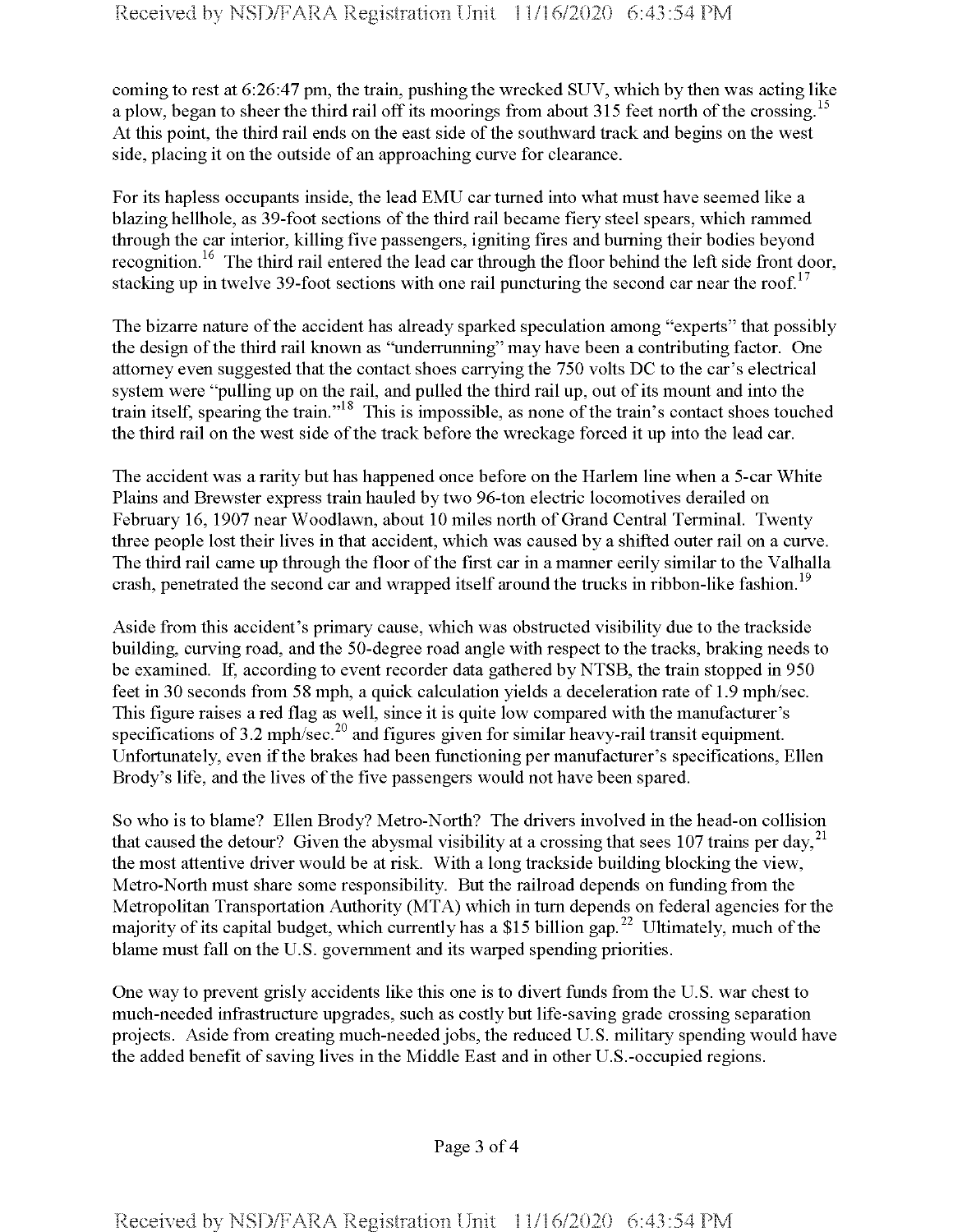coming to rest at 6:26:47 pm, the train, pushing the wrecked SUV, which by then was acting like a plow, began to sheer the third rail off its moorings from about 315 feet north of the crossing.<sup>15</sup> At this point, the third rail ends on the east side of the southward track and begins on the west side, placing it on the outside of an approaching curve for clearance.

For its hapless occupants inside, the lead EMU car turned into what must have seemed like a blazing hellhole, as 39-foot sections of the third rail became fiery steel spears, which rammed through the car interior, killing five passengers, igniting fires and burning their bodies beyond recognition.<sup>16</sup> The third rail entered the lead car through the floor behind the left side front door, stacking up in twelve 39-foot sections with one rail puncturing the second car near the roof.<sup>17</sup>

The bizarre nature of the accident has already sparked speculation among "experts" that possibly the design of the third rail known as "underrunning" may have been a contributing factor. One attorney even suggested that the contact shoes carrying the 750 volts DC to the car's electrical system were "pulling up on the rail, and pulled the third rail up, out of its mount and into the train itself, spearing the train." This is impossible, as none ofthe train's contact shoes touched the third rail on the west side of the track before the wreckage forced it up into the lead car.

The accident was a rarity but has happened once before on the Harlem line when a 5-car White Plains and Brewster express train hauled by two 96-ton electric locomotives derailed on February 16, 1907 near Woodlawn, about 10 miles north of Grand Central Terminal. Twenty three people lost their lives in that accident, which was caused by a shifted outer rail on a curve. The third rail came up through the floor of the first car in a manner eerily similar to the Valhalla crash, penetrated the second car and wrapped itself around the trucks in ribbon-like fashion.<sup>19</sup>

Aside from this accident's primary cause, which was obstructed visibility due to the trackside building, curving road, and the 50-degree road angle with respect to the tracks, braking needs to be examined. If, according to event recorder data gathered by NTSB, the train stopped in 950 feet in 30 seconds from 58 mph, a quick calculation yields a deceleration rate of 1.9 mph/sec. This figure raises a red flag as well, since it is quite low compared with the manufacturer's specifications of  $3.2 \text{ mph/sec}^{20}$  and figures given for similar heavy-rail transit equipment. Unfortunately, even if the brakes had been functioning per manufacturer's specifications, Ellen Brody's life, and the lives of the five passengers would not have been spared.

So who is to blame? Ellen Brody? Metro-North? The drivers involved in the head-on collision that caused the detour? Given the abysmal visibility at a crossing that sees 107 trains per day,  $^{21}$ the most attentive driver would be at risk. With a long trackside building blocking the view, Metro-North must share some responsibility. But the railroad depends on funding from the Metropolitan Transportation Authority (MTA) which in turn depends on federal agencies forthe majority of its capital budget, which currently has a \$15 billion gap.<sup>22</sup> Ultimately, much of the blame must fall on the U.S. government and its warped spending priorities.

One way to prevent grisly accidents like this one is to divert funds from the U.S. war chest to much-needed infrastructure upgrades, such as costly but life-saving grade crossing separation projects. Aside from creating much-needed jobs, the reduced U.S. military spending would have the added benefit of saving lives in the Middle East and in other U.S.-occupied regions.